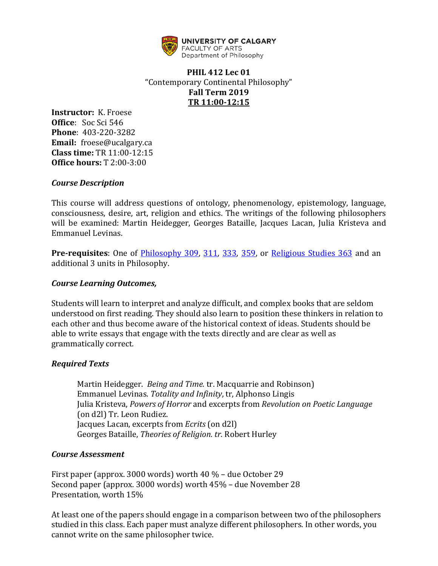

# **PHIL 412 Lec 01** "Contemporary Continental Philosophy" **Fall Term 2019 TR 11:00-12:15**

**Instructor:** K. Froese **Office**: Soc Sci 546 **Phone**: 403-220-3282 **Email:** froese@ucalgary.ca **Class time:** TR 11:00-12:15 **Office hours:** T 2:00-3:00

#### *Course Description*

This course will address questions of ontology, phenomenology, epistemology, language, consciousness, desire, art, religion and ethics. The writings of the following philosophers will be examined: Martin Heidegger, Georges Bataille, Jacques Lacan, Julia Kristeva and Emmanuel Levinas.

**Pre-requisites**: One of [Philosophy 309,](https://www.ucalgary.ca/pubs/calendar/current/philosophy.html#10454) [311,](https://www.ucalgary.ca/pubs/calendar/current/philosophy.html#10455) [333,](https://www.ucalgary.ca/pubs/calendar/current/philosophy.html#10462) [359,](https://www.ucalgary.ca/pubs/calendar/current/philosophy.html#43023) or [Religious Studies 363](https://www.ucalgary.ca/pubs/calendar/current/religious-studies.html#6173) and an additional 3 units in Philosophy.

#### *Course Learning Outcomes,*

Students will learn to interpret and analyze difficult, and complex books that are seldom understood on first reading. They should also learn to position these thinkers in relation to each other and thus become aware of the historical context of ideas. Students should be able to write essays that engage with the texts directly and are clear as well as grammatically correct*.* 

#### *Required Texts*

Martin Heidegger. *Being and Time.* tr. Macquarrie and Robinson) Emmanuel Levinas. *Totality and Infinity*, tr, Alphonso Lingis Julia Kristeva, *Powers of Horror* and excerpts from *Revolution on Poetic Language* (on d2l) Tr. Leon Rudiez. Jacques Lacan, excerpts from *Ecrits* (on d2l) Georges Bataille, *Theories of Religion. tr.* Robert Hurley

#### *Course Assessment*

First paper (approx. 3000 words) worth 40 % – due October 29 Second paper (approx. 3000 words) worth 45% – due November 28 Presentation, worth 15%

At least one of the papers should engage in a comparison between two of the philosophers studied in this class. Each paper must analyze different philosophers. In other words, you cannot write on the same philosopher twice.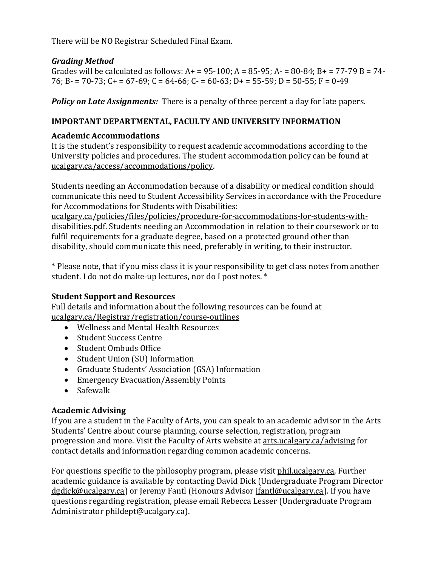There will be NO Registrar Scheduled Final Exam.

# *Grading Method*

Grades will be calculated as follows:  $A+ = 95-100$ ;  $A = 85-95$ ;  $A- = 80-84$ ;  $B+ = 77-79$   $B = 74-$ 76; B -  $= 70-73$ ; C +  $= 67-69$ ; C = 64-66; C -  $= 60-63$ ; D +  $= 55-59$ ; D = 50-55; F = 0-49

*Policy on Late Assignments:* There is a penalty of three percent a day for late papers.

### **IMPORTANT DEPARTMENTAL, FACULTY AND UNIVERSITY INFORMATION**

### **Academic Accommodations**

It is the student's responsibility to request academic accommodations according to the University policies and procedures. The student accommodation policy can be found at [ucalgary.ca/access/accommodations/policy.](https://ucalgary.ca/access/accommodations/policy)

Students needing an Accommodation because of a disability or medical condition should communicate this need to Student Accessibility Services in accordance with the Procedure for Accommodations for Students with Disabilities:

[ucalgary.ca/policies/files/policies/procedure-for-accommodations-for-students-with](https://www.ucalgary.ca/policies/files/policies/procedure-for-accommodations-for-students-with-disabilities.pdf)[disabilities.pdf.](https://www.ucalgary.ca/policies/files/policies/procedure-for-accommodations-for-students-with-disabilities.pdf) Students needing an Accommodation in relation to their coursework or to fulfil requirements for a graduate degree, based on a protected ground other than disability, should communicate this need, preferably in writing, to their instructor.

\* Please note, that if you miss class it is your responsibility to get class notes from another student. I do not do make-up lectures, nor do I post notes. \*

#### **Student Support and Resources**

Full details and information about the following resources can be found at [ucalgary.ca/Registrar/registration/course-outlines](https://www.ucalgary.ca/registrar/registration/course-outlines)

- Wellness and Mental Health Resources
- Student Success Centre
- Student Ombuds Office
- Student Union (SU) Information
- Graduate Students' Association (GSA) Information
- Emergency Evacuation/Assembly Points
- Safewalk

#### **Academic Advising**

If you are a student in the Faculty of Arts, you can speak to an academic advisor in the Arts Students' Centre about course planning, course selection, registration, program progression and more. Visit the Faculty of Arts website a[t arts.ucalgary.ca/advising](https://arts.ucalgary.ca/advising) for contact details and information regarding common academic concerns.

For questions specific to the philosophy program, please visit [phil.ucalgary.ca.](http://phil.ucalgary.ca/) Further academic guidance is available by contacting David Dick (Undergraduate Program Director [dgdick@ucalgary.ca\)](mailto:dgdick@ucalgary.ca) or Jeremy Fantl (Honours Adviso[r jfantl@ucalgary.ca\)](mailto:jfantl@ucalgary.ca). If you have questions regarding registration, please email Rebecca Lesser (Undergraduate Program Administrator [phildept@ucalgary.ca\)](mailto:phildept@ucalgary.ca).